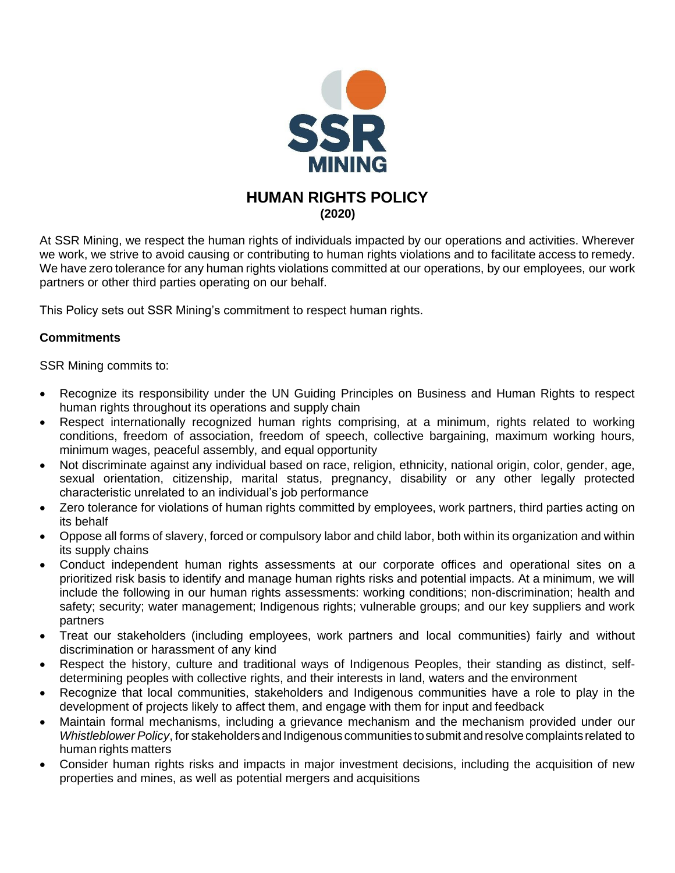

# **HUMAN RIGHTS POLICY (2020)**

At SSR Mining, we respect the human rights of individuals impacted by our operations and activities. Wherever we work, we strive to avoid causing or contributing to human rights violations and to facilitate access to remedy. We have zero tolerance for any human rights violations committed at our operations, by our employees, our work partners or other third parties operating on our behalf.

This Policy sets out SSR Mining's commitment to respect human rights.

# **Commitments**

SSR Mining commits to:

- Recognize its responsibility under the UN Guiding Principles on Business and Human Rights to respect human rights throughout its operations and supply chain
- Respect internationally recognized human rights comprising, at a minimum, rights related to working conditions, freedom of association, freedom of speech, collective bargaining, maximum working hours, minimum wages, peaceful assembly, and equal opportunity
- Not discriminate against any individual based on race, religion, ethnicity, national origin, color, gender, age, sexual orientation, citizenship, marital status, pregnancy, disability or any other legally protected characteristic unrelated to an individual's job performance
- Zero tolerance for violations of human rights committed by employees, work partners, third parties acting on its behalf
- Oppose all forms of slavery, forced or compulsory labor and child labor, both within its organization and within its supply chains
- Conduct independent human rights assessments at our corporate offices and operational sites on a prioritized risk basis to identify and manage human rights risks and potential impacts. At a minimum, we will include the following in our human rights assessments: working conditions; non-discrimination; health and safety; security; water management; Indigenous rights; vulnerable groups; and our key suppliers and work partners
- Treat our stakeholders (including employees, work partners and local communities) fairly and without discrimination or harassment of any kind
- Respect the history, culture and traditional ways of Indigenous Peoples, their standing as distinct, selfdetermining peoples with collective rights, and their interests in land, waters and the environment
- Recognize that local communities, stakeholders and Indigenous communities have a role to play in the development of projects likely to affect them, and engage with them for input and feedback
- Maintain formal mechanisms, including a grievance mechanism and the mechanism provided under our *Whistleblower Policy*, for stakeholders and Indigenous communities to submit and resolve complaints related to human rights matters
- Consider human rights risks and impacts in major investment decisions, including the acquisition of new properties and mines, as well as potential mergers and acquisitions